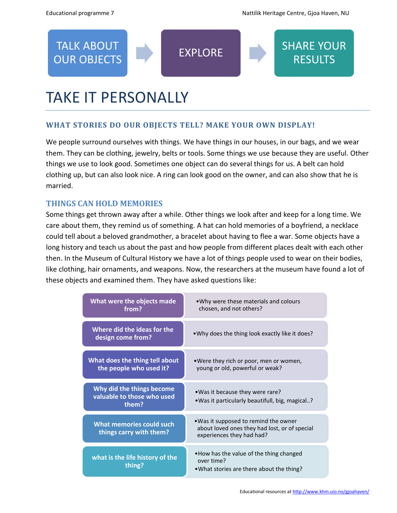TALK ABOUT

**RESULTS** 



## **WHAT STORIES DO OUR OBJECTS TELL? MAKE YOUR OWN DISPLAY!**

We people surround ourselves with things. We have things in our houses, in our bags, and we wear them. They can be clothing, jewelry, belts or tools. Some things we use because they are useful. Other things we use to look good. Sometimes one object can do several things for us. A belt can hold clothing up, but can also look nice. A ring can look good on the owner, and can also show that he is married.

TALK ABOUT **EXPLORE** SHARE YOUR<br>OUR OBJECTS

## **THINGS CAN HOLD MEMORIES**

Some things get thrown away after a while. Other things we look after and keep for a long time. We care about them, they remind us of something. A hat can hold memories of a boyfriend, a necklace could tell about a beloved grandmother, a bracelet about having to flee a war. Some objects have a long history and teach us about the past and how people from different places dealt with each other then. In the Museum of Cultural History we have a lot of things people used to wear on their bodies, like clothing, hair ornaments, and weapons. Now, the researchers at the museum have found a lot of these objects and examined them. They have asked questions like:

| What were the objects made<br>from?                              | •Why were these materials and colours<br>chosen, and not others?                                                    |
|------------------------------------------------------------------|---------------------------------------------------------------------------------------------------------------------|
| Where did the ideas for the<br>design come from?                 | • Why does the thing look exactly like it does?                                                                     |
| What does the thing tell about<br>the people who used it?        | •Were they rich or poor, men or women,<br>young or old, powerful or weak?                                           |
| Why did the things become<br>valuable to those who used<br>them? | • Was it because they were rare?<br>• Was it particularly beautifull, big, magical?                                 |
| <b>What memories could such</b><br>things carry with them?       | • Was it supposed to remind the owner<br>about loved ones they had lost, or of special<br>experiences they had had? |
| what is the life history of the<br>thing?                        | • How has the value of the thing changed<br>over time?<br>. What stories are there about the thing?                 |